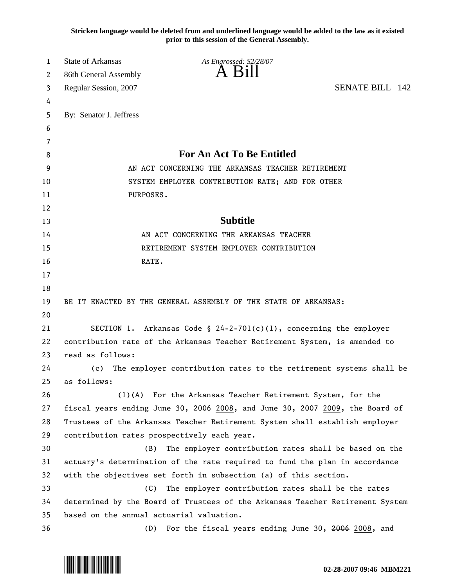**Stricken language would be deleted from and underlined language would be added to the law as it existed prior to this session of the General Assembly.**

| 1  | <b>State of Arkansas</b>                                                   | As Engrossed: S2/28/07                                                        |  |
|----|----------------------------------------------------------------------------|-------------------------------------------------------------------------------|--|
| 2  | 86th General Assembly                                                      | A K1                                                                          |  |
| 3  | Regular Session, 2007                                                      | <b>SENATE BILL 142</b>                                                        |  |
| 4  |                                                                            |                                                                               |  |
| 5  | By: Senator J. Jeffress                                                    |                                                                               |  |
| 6  |                                                                            |                                                                               |  |
| 7  |                                                                            |                                                                               |  |
| 8  |                                                                            | <b>For An Act To Be Entitled</b>                                              |  |
| 9  |                                                                            | AN ACT CONCERNING THE ARKANSAS TEACHER RETIREMENT                             |  |
| 10 |                                                                            | SYSTEM EMPLOYER CONTRIBUTION RATE; AND FOR OTHER                              |  |
| 11 | PURPOSES.                                                                  |                                                                               |  |
| 12 |                                                                            |                                                                               |  |
| 13 |                                                                            | <b>Subtitle</b>                                                               |  |
| 14 |                                                                            | AN ACT CONCERNING THE ARKANSAS TEACHER                                        |  |
| 15 |                                                                            | RETIREMENT SYSTEM EMPLOYER CONTRIBUTION                                       |  |
| 16 | RATE.                                                                      |                                                                               |  |
| 17 |                                                                            |                                                                               |  |
| 18 |                                                                            |                                                                               |  |
| 19 |                                                                            | BE IT ENACTED BY THE GENERAL ASSEMBLY OF THE STATE OF ARKANSAS:               |  |
| 20 |                                                                            |                                                                               |  |
| 21 |                                                                            | SECTION 1. Arkansas Code § 24-2-701(c)(1), concerning the employer            |  |
| 22 | contribution rate of the Arkansas Teacher Retirement System, is amended to |                                                                               |  |
| 23 | read as follows:                                                           |                                                                               |  |
| 24 | (c)                                                                        | The employer contribution rates to the retirement systems shall be            |  |
| 25 | as follows:                                                                |                                                                               |  |
| 26 |                                                                            | (1)(A) For the Arkansas Teacher Retirement System, for the                    |  |
| 27 |                                                                            | fiscal years ending June 30, 2006 2008, and June 30, 2007 2009, the Board of  |  |
| 28 |                                                                            | Trustees of the Arkansas Teacher Retirement System shall establish employer   |  |
| 29 |                                                                            | contribution rates prospectively each year.                                   |  |
| 30 | (B)                                                                        | The employer contribution rates shall be based on the                         |  |
| 31 |                                                                            | actuary's determination of the rate required to fund the plan in accordance   |  |
| 32 |                                                                            | with the objectives set forth in subsection (a) of this section.              |  |
| 33 | (C)                                                                        | The employer contribution rates shall be the rates                            |  |
| 34 |                                                                            | determined by the Board of Trustees of the Arkansas Teacher Retirement System |  |
| 35 | based on the annual actuarial valuation.                                   |                                                                               |  |
| 36 | (D)                                                                        | For the fiscal years ending June 30, 2006 2008, and                           |  |